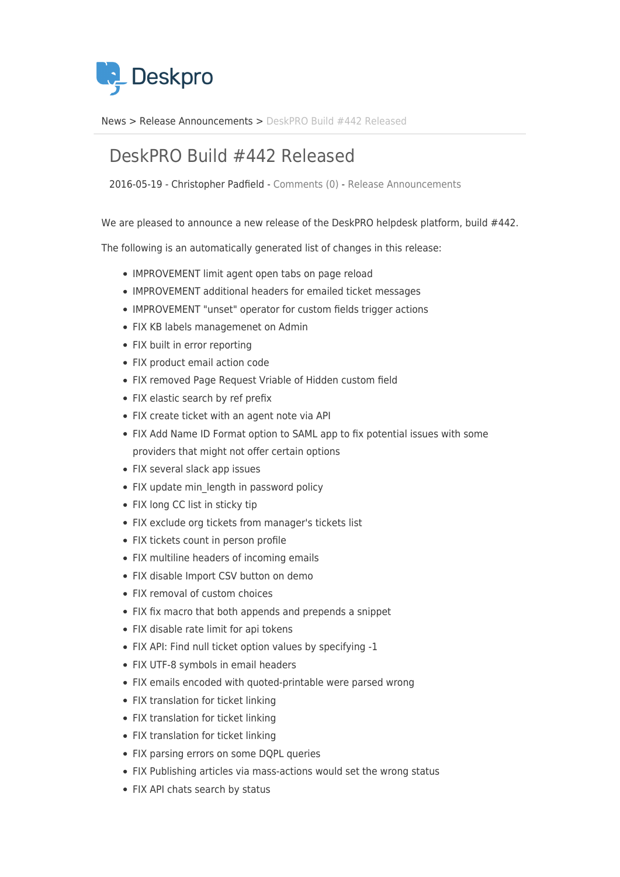

[News](https://support.deskpro.com/ro/news) > [Release Announcements](https://support.deskpro.com/ro/news/release-announcements) > [DeskPRO Build #442 Released](https://support.deskpro.com/ro/news/posts/deskpro-build-442-released)

## DeskPRO Build #442 Released

2016-05-19 - Christopher Padfield - [Comments \(0\)](#page--1-0) - [Release Announcements](https://support.deskpro.com/ro/news/release-announcements)

We are pleased to announce a new release of the DeskPRO helpdesk platform, build #442.

The following is an automatically generated list of changes in this release:

- IMPROVEMENT limit agent open tabs on page reload
- IMPROVEMENT additional headers for emailed ticket messages
- IMPROVEMENT "unset" operator for custom fields trigger actions
- FIX KB labels managemenet on Admin
- FIX built in error reporting
- FIX product email action code
- FIX removed Page Request Vriable of Hidden custom field
- FIX elastic search by ref prefix
- FIX create ticket with an agent note via API
- FIX Add Name ID Format option to SAML app to fix potential issues with some providers that might not offer certain options
- FIX several slack app issues
- FIX update min length in password policy
- FIX long CC list in sticky tip
- FIX exclude org tickets from manager's tickets list
- FIX tickets count in person profile
- FIX multiline headers of incoming emails
- FIX disable Import CSV button on demo
- FIX removal of custom choices
- FIX fix macro that both appends and prepends a snippet
- FIX disable rate limit for api tokens
- FIX API: Find null ticket option values by specifying -1
- FIX UTF-8 symbols in email headers
- FIX emails encoded with quoted-printable were parsed wrong
- FIX translation for ticket linking
- FIX translation for ticket linking
- FIX translation for ticket linking
- FIX parsing errors on some DQPL queries
- FIX Publishing articles via mass-actions would set the wrong status
- FIX API chats search by status